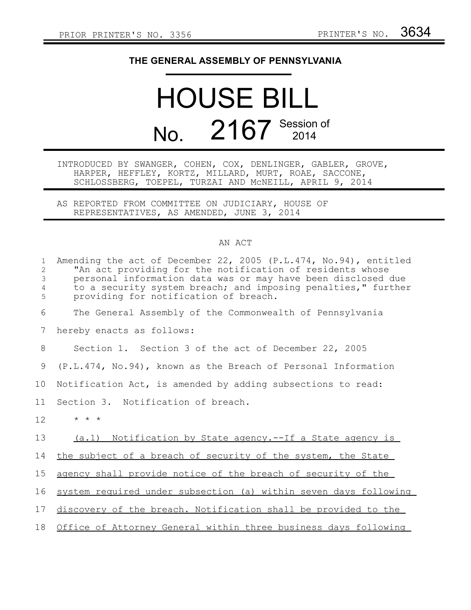## **THE GENERAL ASSEMBLY OF PENNSYLVANIA**

## HOUSE BILL No. 2167 Session of

INTRODUCED BY SWANGER, COHEN, COX, DENLINGER, GABLER, GROVE, HARPER, HEFFLEY, KORTZ, MILLARD, MURT, ROAE, SACCONE, SCHLOSSBERG, TOEPEL, TURZAI AND McNEILL, APRIL 9, 2014

AS REPORTED FROM COMMITTEE ON JUDICIARY, HOUSE OF REPRESENTATIVES, AS AMENDED, JUNE 3, 2014

## AN ACT

| $\mathbf{1}$<br>$\overline{2}$<br>3 | Amending the act of December 22, 2005 (P.L.474, No.94), entitled<br>"An act providing for the notification of residents whose<br>personal information data was or may have been disclosed due<br>to a security system breach; and imposing penalties," further |
|-------------------------------------|----------------------------------------------------------------------------------------------------------------------------------------------------------------------------------------------------------------------------------------------------------------|
| $\sqrt{4}$<br>5                     | providing for notification of breach.                                                                                                                                                                                                                          |
| 6                                   | The General Assembly of the Commonwealth of Pennsylvania                                                                                                                                                                                                       |
| 7                                   | hereby enacts as follows:                                                                                                                                                                                                                                      |
| 8                                   | Section 1. Section 3 of the act of December 22, 2005                                                                                                                                                                                                           |
| 9                                   | (P.L.474, No.94), known as the Breach of Personal Information                                                                                                                                                                                                  |
| 10                                  | Notification Act, is amended by adding subsections to read:                                                                                                                                                                                                    |
| 11                                  | Section 3. Notification of breach.                                                                                                                                                                                                                             |
| 12                                  | $\star$ $\star$ $\star$                                                                                                                                                                                                                                        |
| 13                                  | (a.1) Notification by State agency.--If a State agency is                                                                                                                                                                                                      |
| 14                                  | the subject of a breach of security of the system, the State                                                                                                                                                                                                   |
| 15                                  | agency shall provide notice of the breach of security of the                                                                                                                                                                                                   |
| 16                                  | system required under subsection (a) within seven days following                                                                                                                                                                                               |
| 17                                  | discovery of the breach. Notification shall be provided to the                                                                                                                                                                                                 |
| 18                                  | Office of Attorney General within three business days following                                                                                                                                                                                                |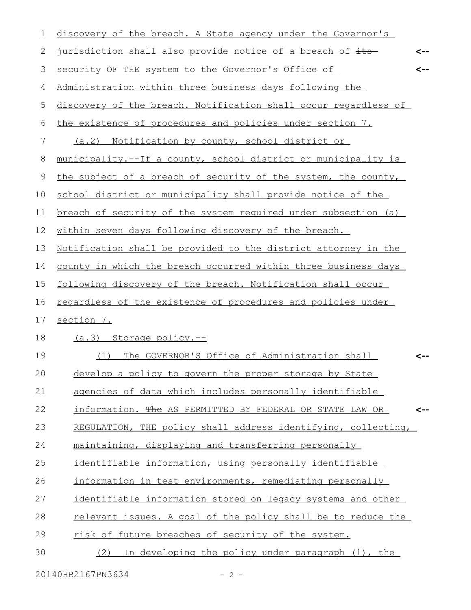| 1           | discovery of the breach. A State agency under the Governor's     |
|-------------|------------------------------------------------------------------|
| 2           | jurisdiction shall also provide notice of a breach of its<br><-- |
| 3           | security OF THE system to the Governor's Office of<br><--        |
| 4           | Administration within three business days following the          |
| 5           | discovery of the breach. Notification shall occur regardless of  |
| 6           | the existence of procedures and policies under section 7.        |
| 7           | (a.2) Notification by county, school district or                 |
| $\,8\,$     | municipality.--If a county, school district or municipality is   |
| $\mathsf 9$ | the subject of a breach of security of the system, the county,   |
| 10          | school district or municipality shall provide notice of the      |
| 11          | breach of security of the system required under subsection (a)   |
| 12          | within seven days following discovery of the breach.             |
| 13          | Notification shall be provided to the district attorney in the   |
| 14          | county in which the breach occurred within three business days   |
| 15          | following discovery of the breach. Notification shall occur      |
| 16          | regardless of the existence of procedures and policies under     |
| 17          | section 7.                                                       |
| 18          | (a.3) Storage policy.--                                          |
| 19          | The GOVERNOR'S Office of Administration shall<br>(1)             |
| 20          | develop a policy to govern the proper storage by State           |
| 21          | agencies of data which includes personally identifiable          |
| 22          | information. The AS PERMITTED BY FEDERAL OR STATE LAW OR<br><--  |
| 23          | REGULATION, THE policy shall address identifying, collecting,    |
| 24          | maintaining, displaying and transferring personally              |
| 25          | identifiable information, using personally identifiable          |
| 26          | information in test environments, remediating personally         |
| 27          | identifiable information stored on legacy systems and other      |
| 28          | relevant issues. A goal of the policy shall be to reduce the     |
| 29          | risk of future breaches of security of the system.               |
| 30          | In developing the policy under paragraph (1), the<br>(2)         |
|             |                                                                  |